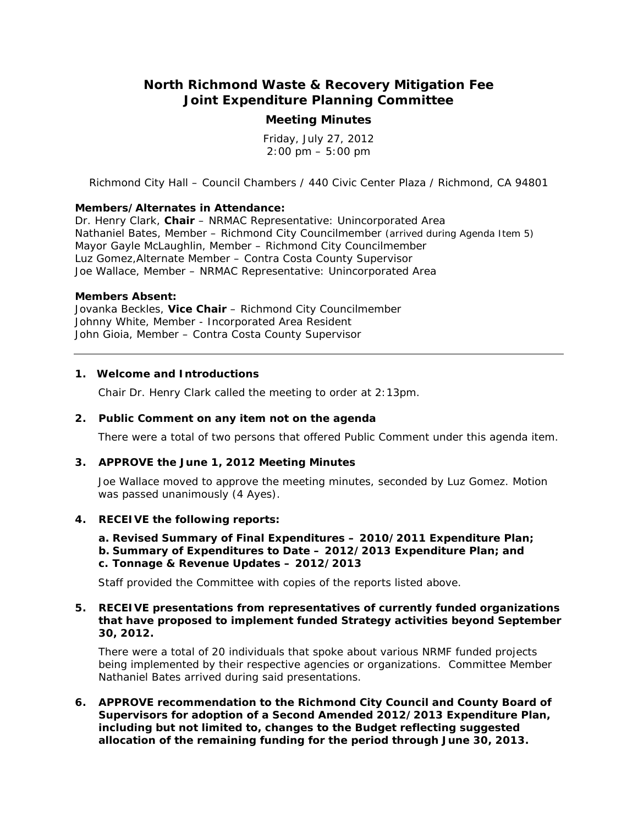# **North Richmond Waste & Recovery Mitigation Fee Joint Expenditure Planning Committee**

## **Meeting Minutes**

Friday, July 27, 2012  $2:00 \text{ pm} - 5:00 \text{ pm}$ 

*Richmond City Hall – Council Chambers / 440 Civic Center Plaza / Richmond, CA 94801*

## **Members/Alternates in Attendance:**

Dr. Henry Clark, **Chair** – NRMAC Representative: Unincorporated Area Nathaniel Bates, Member – Richmond City Councilmember *(arrived during Agenda Item 5)* Mayor Gayle McLaughlin, Member – Richmond City Councilmember Luz Gomez,Alternate Member – Contra Costa County Supervisor Joe Wallace, Member – NRMAC Representative: Unincorporated Area

#### **Members Absent:**

Jovanka Beckles, **Vice Chair** – Richmond City Councilmember Johnny White, Member - Incorporated Area Resident John Gioia, Member – Contra Costa County Supervisor

#### **1. Welcome and Introductions**

Chair Dr. Henry Clark called the meeting to order at 2:13pm.

## **2. Public Comment on any item not on the agenda**

There were a total of two persons that offered Public Comment under this agenda item.

## **3. APPROVE the June 1, 2012 Meeting Minutes**

Joe Wallace moved to approve the meeting minutes, seconded by Luz Gomez. *Motion was passed unanimously (4 Ayes).*

## **4. RECEIVE the following reports:**

**a. Revised Summary of Final Expenditures – 2010/2011 Expenditure Plan; b. Summary of Expenditures to Date – 2012/2013 Expenditure Plan; and c. Tonnage & Revenue Updates – 2012/2013**

Staff provided the Committee with copies of the reports listed above.

## **5. RECEIVE presentations from representatives of currently funded organizations that have proposed to implement funded Strategy activities beyond September 30, 2012.**

There were a total of 20 individuals that spoke about various NRMF funded projects being implemented by their respective agencies or organizations. Committee Member Nathaniel Bates arrived during said presentations.

**6. APPROVE recommendation to the Richmond City Council and County Board of Supervisors for adoption of a Second Amended 2012/2013 Expenditure Plan, including but not limited to, changes to the Budget reflecting suggested allocation of the remaining funding for the period through June 30, 2013.**